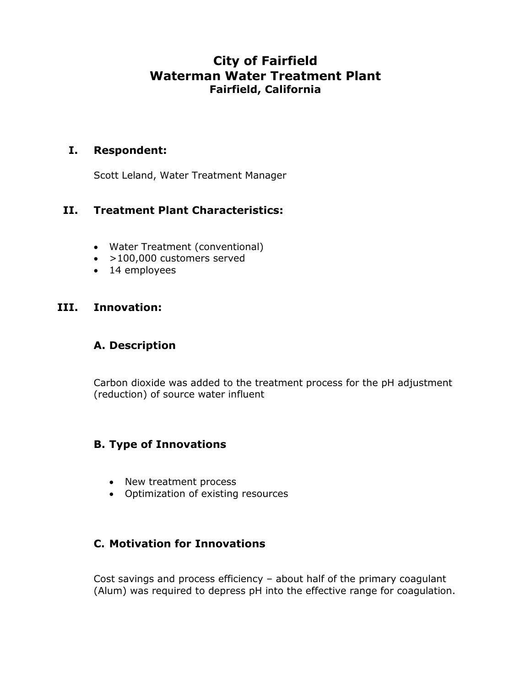# **City of Fairfield Waterman Water Treatment Plant Fairfield, California**

#### **I. Respondent:**

Scott Leland, Water Treatment Manager

## **II. Treatment Plant Characteristics:**

- Water Treatment (conventional)
- >100,000 customers served
- 14 employees

#### **III. Innovation:**

### **A. Description**

Carbon dioxide was added to the treatment process for the pH adjustment (reduction) of source water influent

## **B. Type of Innovations**

- New treatment process
- Optimization of existing resources

### **C. Motivation for Innovations**

Cost savings and process efficiency – about half of the primary coagulant (Alum) was required to depress pH into the effective range for coagulation.